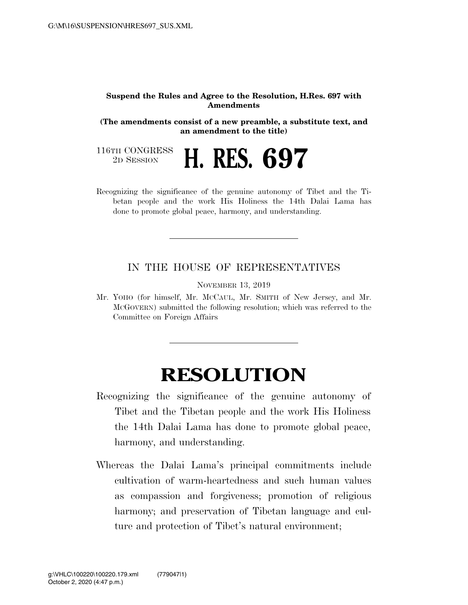## **Suspend the Rules and Agree to the Resolution, H.Res. 697 with Amendments**

**(The amendments consist of a new preamble, a substitute text, and an amendment to the title)** 

116TH CONGRESS<br>2D SESSION

2D SESSION **H. RES. 697** 

Recognizing the significance of the genuine autonomy of Tibet and the Tibetan people and the work His Holiness the 14th Dalai Lama has done to promote global peace, harmony, and understanding.

## IN THE HOUSE OF REPRESENTATIVES

NOVEMBER 13, 2019

Mr. YOHO (for himself, Mr. MCCAUL, Mr. SMITH of New Jersey, and Mr. MCGOVERN) submitted the following resolution; which was referred to the Committee on Foreign Affairs

## **RESOLUTION**

- Recognizing the significance of the genuine autonomy of Tibet and the Tibetan people and the work His Holiness the 14th Dalai Lama has done to promote global peace, harmony, and understanding.
- Whereas the Dalai Lama's principal commitments include cultivation of warm-heartedness and such human values as compassion and forgiveness; promotion of religious harmony; and preservation of Tibetan language and culture and protection of Tibet's natural environment;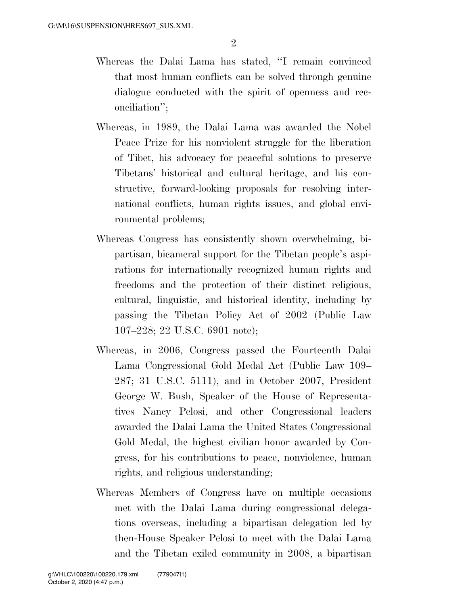- Whereas the Dalai Lama has stated, ''I remain convinced that most human conflicts can be solved through genuine dialogue conducted with the spirit of openness and reconciliation'';
- Whereas, in 1989, the Dalai Lama was awarded the Nobel Peace Prize for his nonviolent struggle for the liberation of Tibet, his advocacy for peaceful solutions to preserve Tibetans' historical and cultural heritage, and his constructive, forward-looking proposals for resolving international conflicts, human rights issues, and global environmental problems;
- Whereas Congress has consistently shown overwhelming, bipartisan, bicameral support for the Tibetan people's aspirations for internationally recognized human rights and freedoms and the protection of their distinct religious, cultural, linguistic, and historical identity, including by passing the Tibetan Policy Act of 2002 (Public Law 107–228; 22 U.S.C. 6901 note);
- Whereas, in 2006, Congress passed the Fourteenth Dalai Lama Congressional Gold Medal Act (Public Law 109– 287; 31 U.S.C. 5111), and in October 2007, President George W. Bush, Speaker of the House of Representatives Nancy Pelosi, and other Congressional leaders awarded the Dalai Lama the United States Congressional Gold Medal, the highest civilian honor awarded by Congress, for his contributions to peace, nonviolence, human rights, and religious understanding;
- Whereas Members of Congress have on multiple occasions met with the Dalai Lama during congressional delegations overseas, including a bipartisan delegation led by then-House Speaker Pelosi to meet with the Dalai Lama and the Tibetan exiled community in 2008, a bipartisan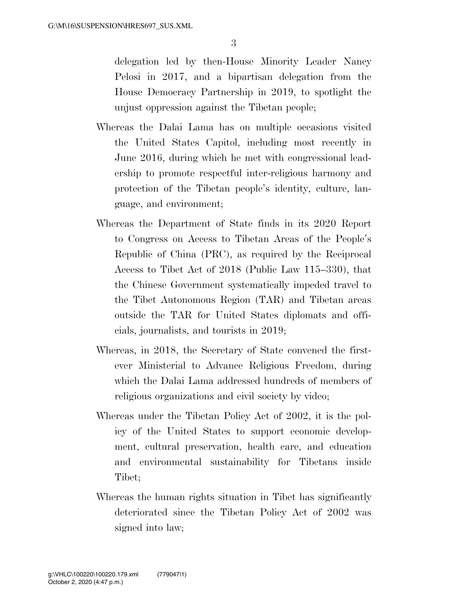delegation led by then-House Minority Leader Nancy Pelosi in 2017, and a bipartisan delegation from the House Democracy Partnership in 2019, to spotlight the unjust oppression against the Tibetan people;

- Whereas the Dalai Lama has on multiple occasions visited the United States Capitol, including most recently in June 2016, during which he met with congressional leadership to promote respectful inter-religious harmony and protection of the Tibetan people's identity, culture, language, and environment;
- Whereas the Department of State finds in its 2020 Report to Congress on Access to Tibetan Areas of the People's Republic of China (PRC), as required by the Reciprocal Access to Tibet Act of 2018 (Public Law 115–330), that the Chinese Government systematically impeded travel to the Tibet Autonomous Region (TAR) and Tibetan areas outside the TAR for United States diplomats and officials, journalists, and tourists in 2019;
- Whereas, in 2018, the Secretary of State convened the firstever Ministerial to Advance Religious Freedom, during which the Dalai Lama addressed hundreds of members of religious organizations and civil society by video;
- Whereas under the Tibetan Policy Act of 2002, it is the policy of the United States to support economic development, cultural preservation, health care, and education and environmental sustainability for Tibetans inside Tibet;
- Whereas the human rights situation in Tibet has significantly deteriorated since the Tibetan Policy Act of 2002 was signed into law;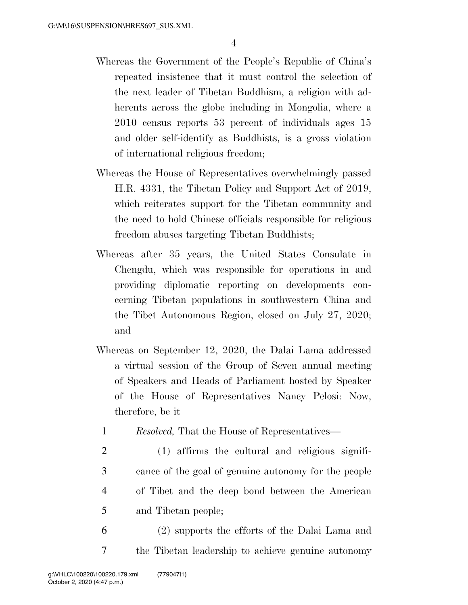- Whereas the Government of the People's Republic of China's repeated insistence that it must control the selection of the next leader of Tibetan Buddhism, a religion with adherents across the globe including in Mongolia, where a 2010 census reports 53 percent of individuals ages 15 and older self-identify as Buddhists, is a gross violation of international religious freedom;
- Whereas the House of Representatives overwhelmingly passed H.R. 4331, the Tibetan Policy and Support Act of 2019, which reiterates support for the Tibetan community and the need to hold Chinese officials responsible for religious freedom abuses targeting Tibetan Buddhists;
- Whereas after 35 years, the United States Consulate in Chengdu, which was responsible for operations in and providing diplomatic reporting on developments concerning Tibetan populations in southwestern China and the Tibet Autonomous Region, closed on July 27, 2020; and
- Whereas on September 12, 2020, the Dalai Lama addressed a virtual session of the Group of Seven annual meeting of Speakers and Heads of Parliament hosted by Speaker of the House of Representatives Nancy Pelosi: Now, therefore, be it
	- 1 *Resolved,* That the House of Representatives—
	- 2 (1) affirms the cultural and religious signifi-3 cance of the goal of genuine autonomy for the people 4 of Tibet and the deep bond between the American 5 and Tibetan people;
- 6 (2) supports the efforts of the Dalai Lama and 7 the Tibetan leadership to achieve genuine autonomy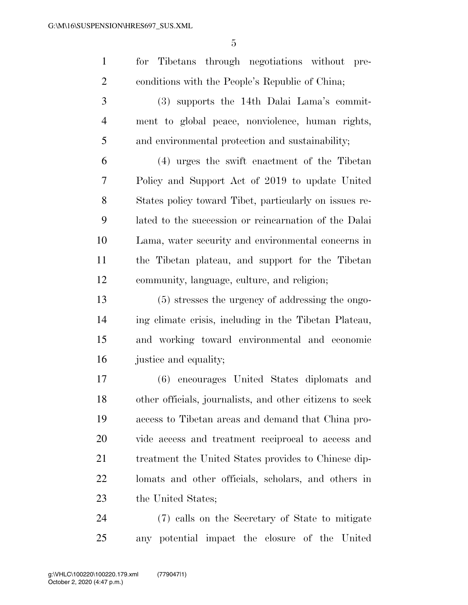for Tibetans through negotiations without pre- conditions with the People's Republic of China; (3) supports the 14th Dalai Lama's commit- ment to global peace, nonviolence, human rights, and environmental protection and sustainability; (4) urges the swift enactment of the Tibetan

 Policy and Support Act of 2019 to update United States policy toward Tibet, particularly on issues re- lated to the succession or reincarnation of the Dalai Lama, water security and environmental concerns in the Tibetan plateau, and support for the Tibetan community, language, culture, and religion;

 (5) stresses the urgency of addressing the ongo- ing climate crisis, including in the Tibetan Plateau, and working toward environmental and economic justice and equality;

 (6) encourages United States diplomats and other officials, journalists, and other citizens to seek access to Tibetan areas and demand that China pro- vide access and treatment reciprocal to access and treatment the United States provides to Chinese dip- lomats and other officials, scholars, and others in 23 the United States;

 (7) calls on the Secretary of State to mitigate any potential impact the closure of the United